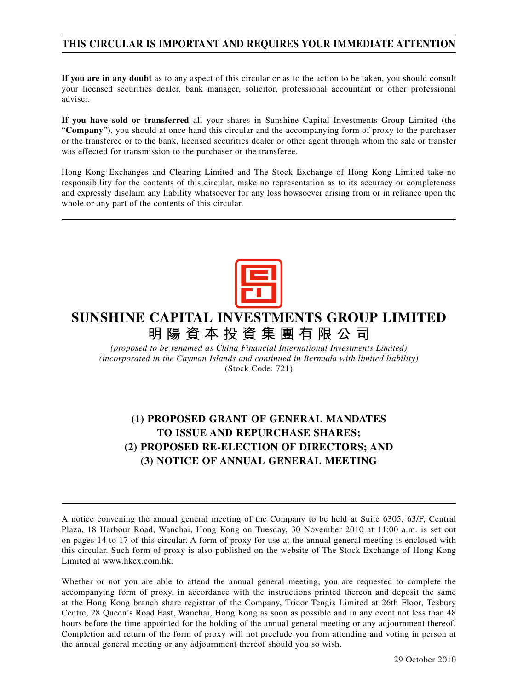# **THIS CIRCULAR IS IMPORTANT AND REQUIRES YOUR IMMEDIATE ATTENTION**

**If you are in any doubt** as to any aspect of this circular or as to the action to be taken, you should consult your licensed securities dealer, bank manager, solicitor, professional accountant or other professional adviser.

**If you have sold or transferred** all your shares in Sunshine Capital Investments Group Limited (the "**Company**"), you should at once hand this circular and the accompanying form of proxy to the purchaser or the transferee or to the bank, licensed securities dealer or other agent through whom the sale or transfer was effected for transmission to the purchaser or the transferee.

Hong Kong Exchanges and Clearing Limited and The Stock Exchange of Hong Kong Limited take no responsibility for the contents of this circular, make no representation as to its accuracy or completeness and expressly disclaim any liability whatsoever for any loss howsoever arising from or in reliance upon the whole or any part of the contents of this circular.



# **SUNSHINE CAPITAL INVESTMENTS GROUP LIMITED 明陽資本投資集團有限公司**

*(proposed to be renamed as China Financial International Investments Limited) (incorporated in the Cayman Islands and continued in Bermuda with limited liability)* (Stock Code: 721)

# **(1) PROPOSED GRANT OF GENERAL MANDATES TO ISSUE AND REPURCHASE SHARES; (2) PROPOSED RE-ELECTION OF DIRECTORS; AND (3) NOTICE OF ANNUAL GENERAL MEETING**

A notice convening the annual general meeting of the Company to be held at Suite 6305, 63/F, Central Plaza, 18 Harbour Road, Wanchai, Hong Kong on Tuesday, 30 November 2010 at 11:00 a.m. is set out on pages 14 to 17 of this circular. A form of proxy for use at the annual general meeting is enclosed with this circular. Such form of proxy is also published on the website of The Stock Exchange of Hong Kong Limited at www.hkex.com.hk.

Whether or not you are able to attend the annual general meeting, you are requested to complete the accompanying form of proxy, in accordance with the instructions printed thereon and deposit the same at the Hong Kong branch share registrar of the Company, Tricor Tengis Limited at 26th Floor, Tesbury Centre, 28 Queen's Road East, Wanchai, Hong Kong as soon as possible and in any event not less than 48 hours before the time appointed for the holding of the annual general meeting or any adjournment thereof. Completion and return of the form of proxy will not preclude you from attending and voting in person at the annual general meeting or any adjournment thereof should you so wish.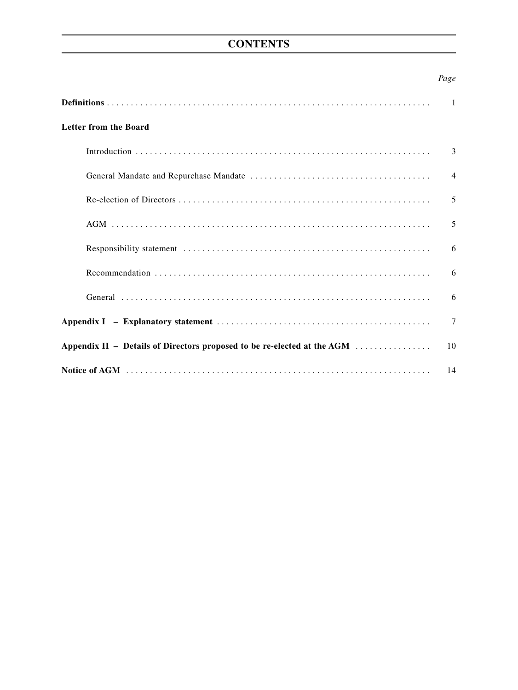# **CONTENTS**

## *Page*

|                                                                         | 1              |
|-------------------------------------------------------------------------|----------------|
| <b>Letter from the Board</b>                                            |                |
|                                                                         | 3              |
|                                                                         | $\overline{4}$ |
|                                                                         | 5              |
|                                                                         | 5              |
|                                                                         | 6              |
|                                                                         | 6              |
|                                                                         | 6              |
|                                                                         | $\tau$         |
| Appendix II – Details of Directors proposed to be re-elected at the AGM | 10             |
|                                                                         | 14             |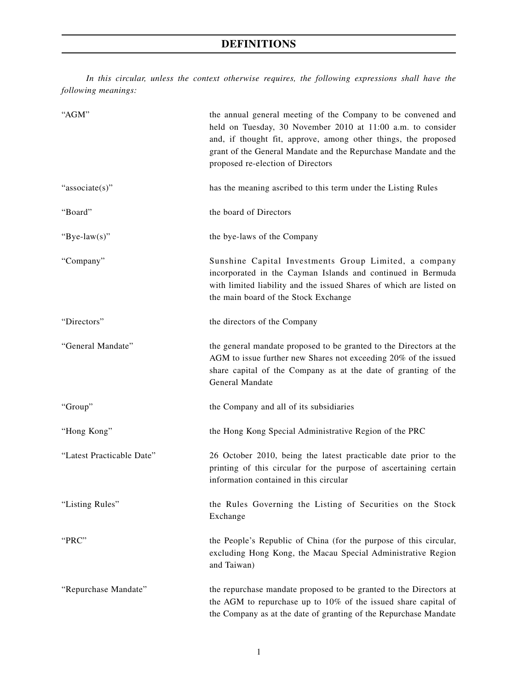# **DEFINITIONS**

*In this circular, unless the context otherwise requires, the following expressions shall have the following meanings:*

| "AGM"                     | the annual general meeting of the Company to be convened and<br>held on Tuesday, 30 November 2010 at 11:00 a.m. to consider<br>and, if thought fit, approve, among other things, the proposed<br>grant of the General Mandate and the Repurchase Mandate and the<br>proposed re-election of Directors |
|---------------------------|-------------------------------------------------------------------------------------------------------------------------------------------------------------------------------------------------------------------------------------------------------------------------------------------------------|
| "associate(s)"            | has the meaning ascribed to this term under the Listing Rules                                                                                                                                                                                                                                         |
| "Board"                   | the board of Directors                                                                                                                                                                                                                                                                                |
| "Bye-law(s)"              | the bye-laws of the Company                                                                                                                                                                                                                                                                           |
| "Company"                 | Sunshine Capital Investments Group Limited, a company<br>incorporated in the Cayman Islands and continued in Bermuda<br>with limited liability and the issued Shares of which are listed on<br>the main board of the Stock Exchange                                                                   |
| "Directors"               | the directors of the Company                                                                                                                                                                                                                                                                          |
| "General Mandate"         | the general mandate proposed to be granted to the Directors at the<br>AGM to issue further new Shares not exceeding 20% of the issued<br>share capital of the Company as at the date of granting of the<br>General Mandate                                                                            |
| "Group"                   | the Company and all of its subsidiaries                                                                                                                                                                                                                                                               |
| "Hong Kong"               | the Hong Kong Special Administrative Region of the PRC                                                                                                                                                                                                                                                |
| "Latest Practicable Date" | 26 October 2010, being the latest practicable date prior to the<br>printing of this circular for the purpose of ascertaining certain<br>information contained in this circular                                                                                                                        |
| "Listing Rules"           | the Rules Governing the Listing of Securities on the Stock<br>Exchange                                                                                                                                                                                                                                |
| "PRC"                     | the People's Republic of China (for the purpose of this circular,<br>excluding Hong Kong, the Macau Special Administrative Region<br>and Taiwan)                                                                                                                                                      |
| "Repurchase Mandate"      | the repurchase mandate proposed to be granted to the Directors at<br>the AGM to repurchase up to 10% of the issued share capital of<br>the Company as at the date of granting of the Repurchase Mandate                                                                                               |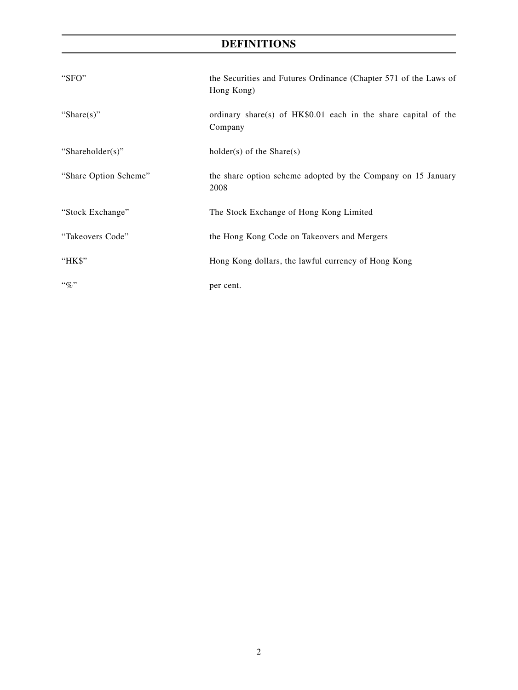# **DEFINITIONS**

| "SFO"                 | the Securities and Futures Ordinance (Chapter 571 of the Laws of<br>Hong Kong) |
|-----------------------|--------------------------------------------------------------------------------|
| "Share $(s)$ "        | ordinary share(s) of $HK$0.01$ each in the share capital of the<br>Company     |
| "Shareholder(s)"      | $holder(s)$ of the Share $(s)$                                                 |
| "Share Option Scheme" | the share option scheme adopted by the Company on 15 January<br>2008           |
| "Stock Exchange"      | The Stock Exchange of Hong Kong Limited                                        |
| "Takeovers Code"      | the Hong Kong Code on Takeovers and Mergers                                    |
| "HK\$"                | Hong Kong dollars, the lawful currency of Hong Kong                            |
| $``\%"$               | per cent.                                                                      |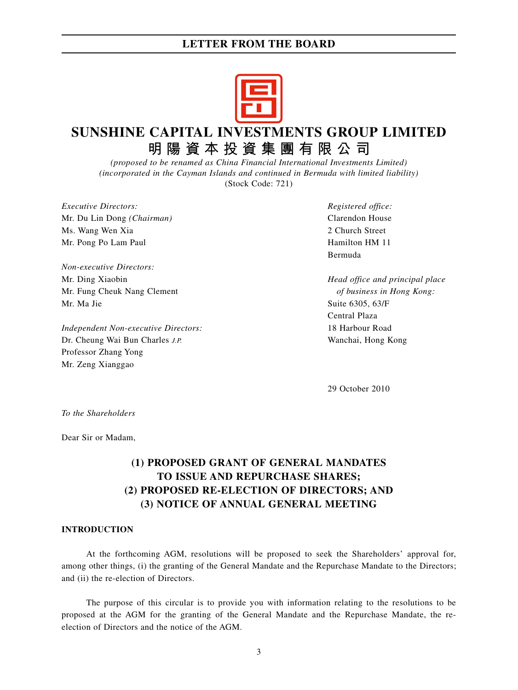

# **SUNSHINE CAPITAL INVESTMENTS GROUP LIMITED 明陽資本投資集團有限公司**

*(proposed to be renamed as China Financial International Investments Limited) (incorporated in the Cayman Islands and continued in Bermuda with limited liability)* (Stock Code: 721)

*Executive Directors: Registered office:* Mr. Du Lin Dong *(Chairman)* Clarendon House Ms. Wang Wen Xia 2 Church Street Mr. Pong Po Lam Paul **Hamilton HM 11** 

*Non-executive Directors:* Mr. Ding Xiaobin *Head office and principal place* Mr. Fung Cheuk Nang Clement *of business in Hong Kong:* Mr. Ma Jie Suite 6305, 63/F

*Independent Non-executive Directors:* 18 Harbour Road Dr. Cheung Wai Bun Charles *J.P.* Wanchai, Hong Kong Professor Zhang Yong Mr. Zeng Xianggao

Bermuda

Central Plaza

29 October 2010

*To the Shareholders*

Dear Sir or Madam,

# **(1) PROPOSED GRANT OF GENERAL MANDATES TO ISSUE AND REPURCHASE SHARES; (2) PROPOSED RE-ELECTION OF DIRECTORS; AND (3) NOTICE OF ANNUAL GENERAL MEETING**

#### **INTRODUCTION**

At the forthcoming AGM, resolutions will be proposed to seek the Shareholders' approval for, among other things, (i) the granting of the General Mandate and the Repurchase Mandate to the Directors; and (ii) the re-election of Directors.

The purpose of this circular is to provide you with information relating to the resolutions to be proposed at the AGM for the granting of the General Mandate and the Repurchase Mandate, the reelection of Directors and the notice of the AGM.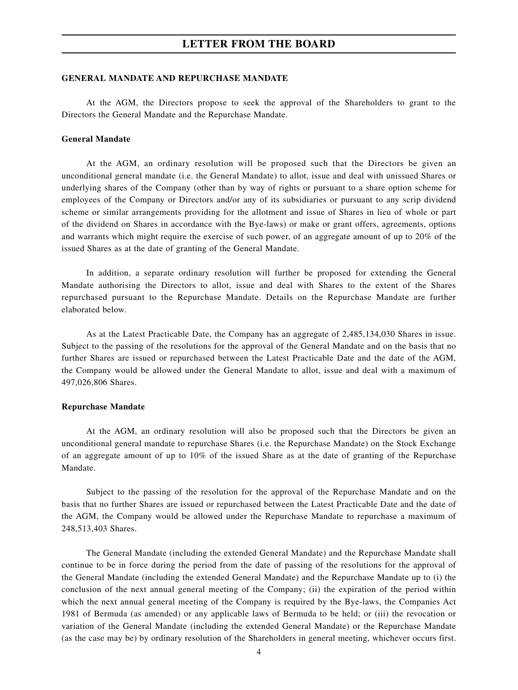#### **GENERAL MANDATE AND REPURCHASE MANDATE**

At the AGM, the Directors propose to seek the approval of the Shareholders to grant to the Directors the General Mandate and the Repurchase Mandate.

#### **General Mandate**

At the AGM, an ordinary resolution will be proposed such that the Directors be given an unconditional general mandate (i.e. the General Mandate) to allot, issue and deal with unissued Shares or underlying shares of the Company (other than by way of rights or pursuant to a share option scheme for employees of the Company or Directors and/or any of its subsidiaries or pursuant to any scrip dividend scheme or similar arrangements providing for the allotment and issue of Shares in lieu of whole or part of the dividend on Shares in accordance with the Bye-laws) or make or grant offers, agreements, options and warrants which might require the exercise of such power, of an aggregate amount of up to 20% of the issued Shares as at the date of granting of the General Mandate.

In addition, a separate ordinary resolution will further be proposed for extending the General Mandate authorising the Directors to allot, issue and deal with Shares to the extent of the Shares repurchased pursuant to the Repurchase Mandate. Details on the Repurchase Mandate are further elaborated below.

As at the Latest Practicable Date, the Company has an aggregate of 2,485,134,030 Shares in issue. Subject to the passing of the resolutions for the approval of the General Mandate and on the basis that no further Shares are issued or repurchased between the Latest Practicable Date and the date of the AGM, the Company would be allowed under the General Mandate to allot, issue and deal with a maximum of 497,026,806 Shares.

#### **Repurchase Mandate**

At the AGM, an ordinary resolution will also be proposed such that the Directors be given an unconditional general mandate to repurchase Shares (i.e. the Repurchase Mandate) on the Stock Exchange of an aggregate amount of up to 10% of the issued Share as at the date of granting of the Repurchase Mandate.

Subject to the passing of the resolution for the approval of the Repurchase Mandate and on the basis that no further Shares are issued or repurchased between the Latest Practicable Date and the date of the AGM, the Company would be allowed under the Repurchase Mandate to repurchase a maximum of 248,513,403 Shares.

The General Mandate (including the extended General Mandate) and the Repurchase Mandate shall continue to be in force during the period from the date of passing of the resolutions for the approval of the General Mandate (including the extended General Mandate) and the Repurchase Mandate up to (i) the conclusion of the next annual general meeting of the Company; (ii) the expiration of the period within which the next annual general meeting of the Company is required by the Bye-laws, the Companies Act 1981 of Bermuda (as amended) or any applicable laws of Bermuda to be held; or (iii) the revocation or variation of the General Mandate (including the extended General Mandate) or the Repurchase Mandate (as the case may be) by ordinary resolution of the Shareholders in general meeting, whichever occurs first.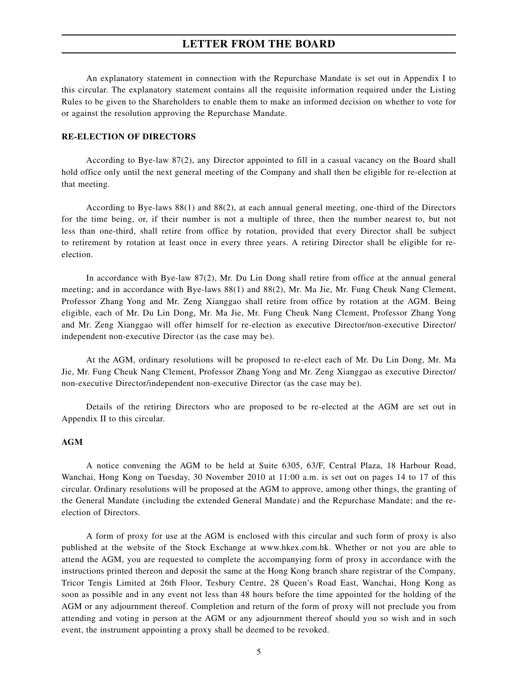An explanatory statement in connection with the Repurchase Mandate is set out in Appendix I to this circular. The explanatory statement contains all the requisite information required under the Listing Rules to be given to the Shareholders to enable them to make an informed decision on whether to vote for or against the resolution approving the Repurchase Mandate.

#### **RE-ELECTION OF DIRECTORS**

According to Bye-law 87(2), any Director appointed to fill in a casual vacancy on the Board shall hold office only until the next general meeting of the Company and shall then be eligible for re-election at that meeting.

According to Bye-laws 88(1) and 88(2), at each annual general meeting, one-third of the Directors for the time being, or, if their number is not a multiple of three, then the number nearest to, but not less than one-third, shall retire from office by rotation, provided that every Director shall be subject to retirement by rotation at least once in every three years. A retiring Director shall be eligible for reelection.

In accordance with Bye-law 87(2), Mr. Du Lin Dong shall retire from office at the annual general meeting; and in accordance with Bye-laws  $88(1)$  and  $88(2)$ , Mr. Ma Jie, Mr. Fung Cheuk Nang Clement, Professor Zhang Yong and Mr. Zeng Xianggao shall retire from office by rotation at the AGM. Being eligible, each of Mr. Du Lin Dong, Mr. Ma Jie, Mr. Fung Cheuk Nang Clement, Professor Zhang Yong and Mr. Zeng Xianggao will offer himself for re-election as executive Director/non-executive Director/ independent non-executive Director (as the case may be).

At the AGM, ordinary resolutions will be proposed to re-elect each of Mr. Du Lin Dong, Mr. Ma Jie, Mr. Fung Cheuk Nang Clement, Professor Zhang Yong and Mr. Zeng Xianggao as executive Director/ non-executive Director/independent non-executive Director (as the case may be).

Details of the retiring Directors who are proposed to be re-elected at the AGM are set out in Appendix II to this circular.

#### **AGM**

A notice convening the AGM to be held at Suite 6305, 63/F, Central Plaza, 18 Harbour Road, Wanchai, Hong Kong on Tuesday, 30 November 2010 at 11:00 a.m. is set out on pages 14 to 17 of this circular. Ordinary resolutions will be proposed at the AGM to approve, among other things, the granting of the General Mandate (including the extended General Mandate) and the Repurchase Mandate; and the reelection of Directors.

A form of proxy for use at the AGM is enclosed with this circular and such form of proxy is also published at the website of the Stock Exchange at www.hkex.com.hk. Whether or not you are able to attend the AGM, you are requested to complete the accompanying form of proxy in accordance with the instructions printed thereon and deposit the same at the Hong Kong branch share registrar of the Company, Tricor Tengis Limited at 26th Floor, Tesbury Centre, 28 Queen's Road East, Wanchai, Hong Kong as soon as possible and in any event not less than 48 hours before the time appointed for the holding of the AGM or any adjournment thereof. Completion and return of the form of proxy will not preclude you from attending and voting in person at the AGM or any adjournment thereof should you so wish and in such event, the instrument appointing a proxy shall be deemed to be revoked.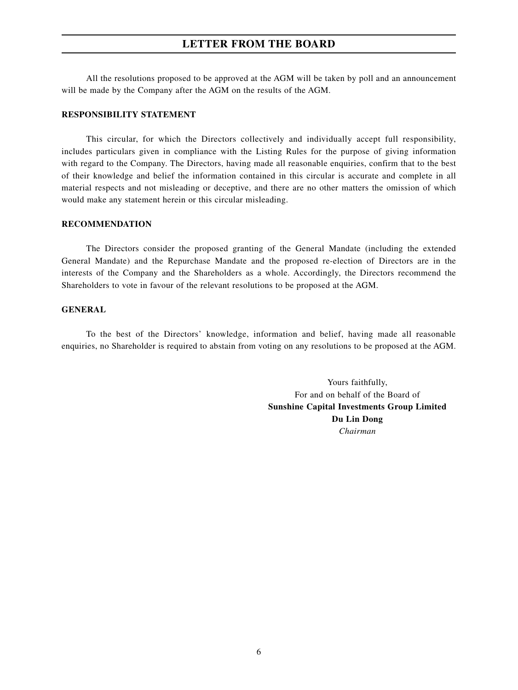All the resolutions proposed to be approved at the AGM will be taken by poll and an announcement will be made by the Company after the AGM on the results of the AGM.

#### **RESPONSIBILITY STATEMENT**

This circular, for which the Directors collectively and individually accept full responsibility, includes particulars given in compliance with the Listing Rules for the purpose of giving information with regard to the Company. The Directors, having made all reasonable enquiries, confirm that to the best of their knowledge and belief the information contained in this circular is accurate and complete in all material respects and not misleading or deceptive, and there are no other matters the omission of which would make any statement herein or this circular misleading.

#### **RECOMMENDATION**

The Directors consider the proposed granting of the General Mandate (including the extended General Mandate) and the Repurchase Mandate and the proposed re-election of Directors are in the interests of the Company and the Shareholders as a whole. Accordingly, the Directors recommend the Shareholders to vote in favour of the relevant resolutions to be proposed at the AGM.

#### **GENERAL**

To the best of the Directors' knowledge, information and belief, having made all reasonable enquiries, no Shareholder is required to abstain from voting on any resolutions to be proposed at the AGM.

> Yours faithfully, For and on behalf of the Board of **Sunshine Capital Investments Group Limited Du Lin Dong** *Chairman*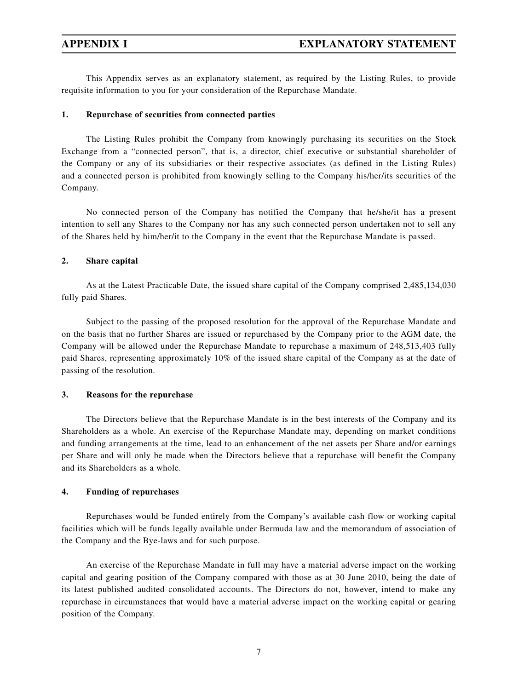This Appendix serves as an explanatory statement, as required by the Listing Rules, to provide requisite information to you for your consideration of the Repurchase Mandate.

#### **1. Repurchase of securities from connected parties**

The Listing Rules prohibit the Company from knowingly purchasing its securities on the Stock Exchange from a "connected person", that is, a director, chief executive or substantial shareholder of the Company or any of its subsidiaries or their respective associates (as defined in the Listing Rules) and a connected person is prohibited from knowingly selling to the Company his/her/its securities of the Company.

No connected person of the Company has notified the Company that he/she/it has a present intention to sell any Shares to the Company nor has any such connected person undertaken not to sell any of the Shares held by him/her/it to the Company in the event that the Repurchase Mandate is passed.

#### **2. Share capital**

As at the Latest Practicable Date, the issued share capital of the Company comprised 2,485,134,030 fully paid Shares.

Subject to the passing of the proposed resolution for the approval of the Repurchase Mandate and on the basis that no further Shares are issued or repurchased by the Company prior to the AGM date, the Company will be allowed under the Repurchase Mandate to repurchase a maximum of 248,513,403 fully paid Shares, representing approximately 10% of the issued share capital of the Company as at the date of passing of the resolution.

#### **3. Reasons for the repurchase**

The Directors believe that the Repurchase Mandate is in the best interests of the Company and its Shareholders as a whole. An exercise of the Repurchase Mandate may, depending on market conditions and funding arrangements at the time, lead to an enhancement of the net assets per Share and/or earnings per Share and will only be made when the Directors believe that a repurchase will benefit the Company and its Shareholders as a whole.

#### **4. Funding of repurchases**

Repurchases would be funded entirely from the Company's available cash flow or working capital facilities which will be funds legally available under Bermuda law and the memorandum of association of the Company and the Bye-laws and for such purpose.

An exercise of the Repurchase Mandate in full may have a material adverse impact on the working capital and gearing position of the Company compared with those as at 30 June 2010, being the date of its latest published audited consolidated accounts. The Directors do not, however, intend to make any repurchase in circumstances that would have a material adverse impact on the working capital or gearing position of the Company.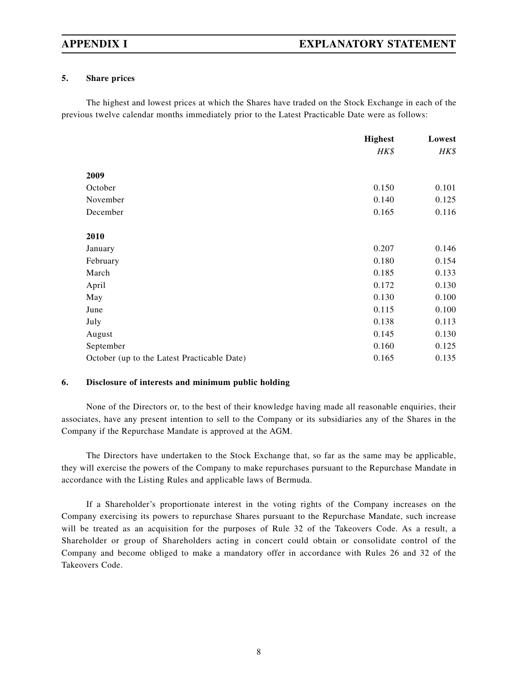### **5. Share prices**

The highest and lowest prices at which the Shares have traded on the Stock Exchange in each of the previous twelve calendar months immediately prior to the Latest Practicable Date were as follows:

|                                             | <b>Highest</b> | Lowest |
|---------------------------------------------|----------------|--------|
|                                             | HK\$           | HK\$   |
| 2009                                        |                |        |
| October                                     | 0.150          | 0.101  |
| November                                    | 0.140          | 0.125  |
| December                                    | 0.165          | 0.116  |
| 2010                                        |                |        |
| January                                     | 0.207          | 0.146  |
| February                                    | 0.180          | 0.154  |
| March                                       | 0.185          | 0.133  |
| April                                       | 0.172          | 0.130  |
| May                                         | 0.130          | 0.100  |
| June                                        | 0.115          | 0.100  |
| July                                        | 0.138          | 0.113  |
| August                                      | 0.145          | 0.130  |
| September                                   | 0.160          | 0.125  |
| October (up to the Latest Practicable Date) | 0.165          | 0.135  |

### **6. Disclosure of interests and minimum public holding**

None of the Directors or, to the best of their knowledge having made all reasonable enquiries, their associates, have any present intention to sell to the Company or its subsidiaries any of the Shares in the Company if the Repurchase Mandate is approved at the AGM.

The Directors have undertaken to the Stock Exchange that, so far as the same may be applicable, they will exercise the powers of the Company to make repurchases pursuant to the Repurchase Mandate in accordance with the Listing Rules and applicable laws of Bermuda.

If a Shareholder's proportionate interest in the voting rights of the Company increases on the Company exercising its powers to repurchase Shares pursuant to the Repurchase Mandate, such increase will be treated as an acquisition for the purposes of Rule 32 of the Takeovers Code. As a result, a Shareholder or group of Shareholders acting in concert could obtain or consolidate control of the Company and become obliged to make a mandatory offer in accordance with Rules 26 and 32 of the Takeovers Code.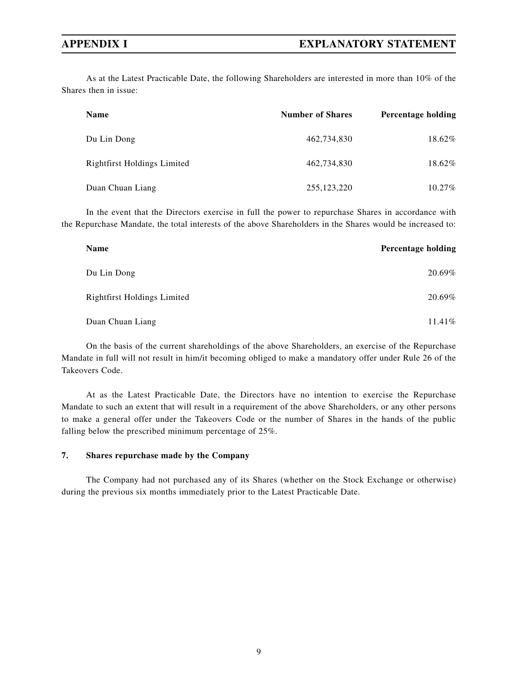As at the Latest Practicable Date, the following Shareholders are interested in more than 10% of the Shares then in issue:

| Name                        | <b>Number of Shares</b> | <b>Percentage holding</b> |
|-----------------------------|-------------------------|---------------------------|
| Du Lin Dong                 | 462,734,830             | 18.62%                    |
| Rightfirst Holdings Limited | 462.734.830             | 18.62%                    |
| Duan Chuan Liang            | 255, 123, 220           | $10.27\%$                 |

In the event that the Directors exercise in full the power to repurchase Shares in accordance with the Repurchase Mandate, the total interests of the above Shareholders in the Shares would be increased to:

| Name                               | <b>Percentage holding</b> |
|------------------------------------|---------------------------|
| Du Lin Dong                        | 20.69%                    |
| <b>Rightfirst Holdings Limited</b> | 20.69%                    |
| Duan Chuan Liang                   | 11.41%                    |

On the basis of the current shareholdings of the above Shareholders, an exercise of the Repurchase Mandate in full will not result in him/it becoming obliged to make a mandatory offer under Rule 26 of the Takeovers Code.

At as the Latest Practicable Date, the Directors have no intention to exercise the Repurchase Mandate to such an extent that will result in a requirement of the above Shareholders, or any other persons to make a general offer under the Takeovers Code or the number of Shares in the hands of the public falling below the prescribed minimum percentage of 25%.

#### **7. Shares repurchase made by the Company**

The Company had not purchased any of its Shares (whether on the Stock Exchange or otherwise) during the previous six months immediately prior to the Latest Practicable Date.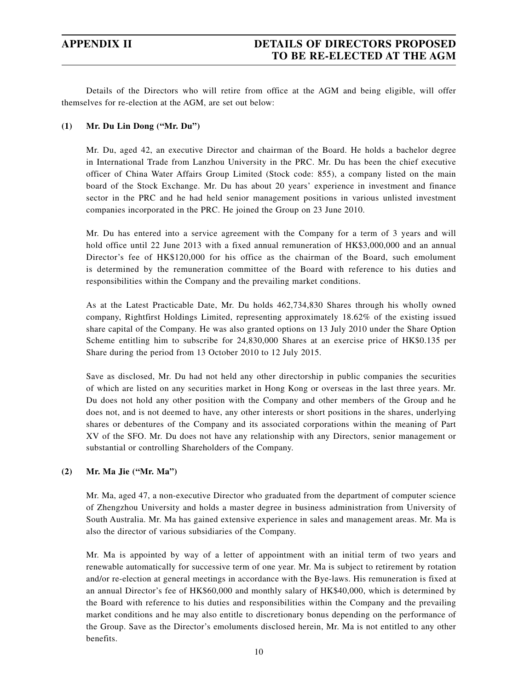# **APPENDIX II DETAILS OF DIRECTORS PROPOSED TO BE RE-ELECTED AT THE AGM**

Details of the Directors who will retire from office at the AGM and being eligible, will offer themselves for re-election at the AGM, are set out below:

### **(1) Mr. Du Lin Dong ("Mr. Du")**

Mr. Du, aged 42, an executive Director and chairman of the Board. He holds a bachelor degree in International Trade from Lanzhou University in the PRC. Mr. Du has been the chief executive officer of China Water Affairs Group Limited (Stock code: 855), a company listed on the main board of the Stock Exchange. Mr. Du has about 20 years' experience in investment and finance sector in the PRC and he had held senior management positions in various unlisted investment companies incorporated in the PRC. He joined the Group on 23 June 2010.

Mr. Du has entered into a service agreement with the Company for a term of 3 years and will hold office until 22 June 2013 with a fixed annual remuneration of HK\$3,000,000 and an annual Director's fee of HK\$120,000 for his office as the chairman of the Board, such emolument is determined by the remuneration committee of the Board with reference to his duties and responsibilities within the Company and the prevailing market conditions.

As at the Latest Practicable Date, Mr. Du holds 462,734,830 Shares through his wholly owned company, Rightfirst Holdings Limited, representing approximately 18.62% of the existing issued share capital of the Company. He was also granted options on 13 July 2010 under the Share Option Scheme entitling him to subscribe for 24,830,000 Shares at an exercise price of HK\$0.135 per Share during the period from 13 October 2010 to 12 July 2015.

Save as disclosed, Mr. Du had not held any other directorship in public companies the securities of which are listed on any securities market in Hong Kong or overseas in the last three years. Mr. Du does not hold any other position with the Company and other members of the Group and he does not, and is not deemed to have, any other interests or short positions in the shares, underlying shares or debentures of the Company and its associated corporations within the meaning of Part XV of the SFO. Mr. Du does not have any relationship with any Directors, senior management or substantial or controlling Shareholders of the Company.

#### **(2) Mr. Ma Jie ("Mr. Ma")**

Mr. Ma, aged 47, a non-executive Director who graduated from the department of computer science of Zhengzhou University and holds a master degree in business administration from University of South Australia. Mr. Ma has gained extensive experience in sales and management areas. Mr. Ma is also the director of various subsidiaries of the Company.

Mr. Ma is appointed by way of a letter of appointment with an initial term of two years and renewable automatically for successive term of one year. Mr. Ma is subject to retirement by rotation and/or re-election at general meetings in accordance with the Bye-laws. His remuneration is fixed at an annual Director's fee of HK\$60,000 and monthly salary of HK\$40,000, which is determined by the Board with reference to his duties and responsibilities within the Company and the prevailing market conditions and he may also entitle to discretionary bonus depending on the performance of the Group. Save as the Director's emoluments disclosed herein, Mr. Ma is not entitled to any other benefits.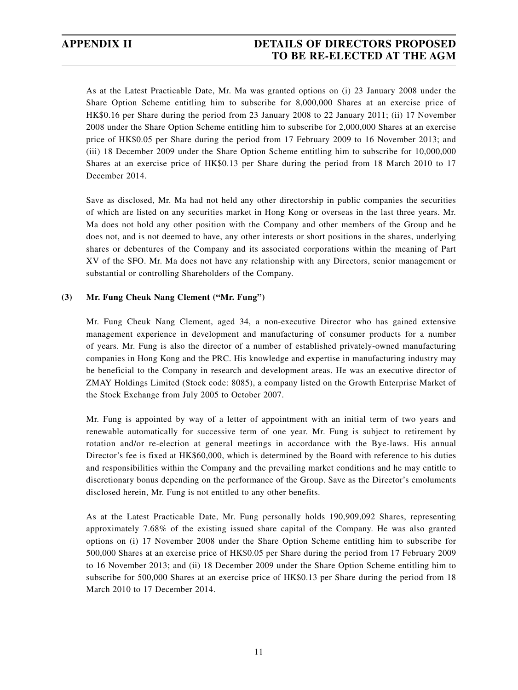# **APPENDIX II DETAILS OF DIRECTORS PROPOSED TO BE RE-ELECTED AT THE AGM**

As at the Latest Practicable Date, Mr. Ma was granted options on (i) 23 January 2008 under the Share Option Scheme entitling him to subscribe for 8,000,000 Shares at an exercise price of HK\$0.16 per Share during the period from 23 January 2008 to 22 January 2011; (ii) 17 November 2008 under the Share Option Scheme entitling him to subscribe for 2,000,000 Shares at an exercise price of HK\$0.05 per Share during the period from 17 February 2009 to 16 November 2013; and (iii) 18 December 2009 under the Share Option Scheme entitling him to subscribe for 10,000,000 Shares at an exercise price of HK\$0.13 per Share during the period from 18 March 2010 to 17 December 2014.

Save as disclosed, Mr. Ma had not held any other directorship in public companies the securities of which are listed on any securities market in Hong Kong or overseas in the last three years. Mr. Ma does not hold any other position with the Company and other members of the Group and he does not, and is not deemed to have, any other interests or short positions in the shares, underlying shares or debentures of the Company and its associated corporations within the meaning of Part XV of the SFO. Mr. Ma does not have any relationship with any Directors, senior management or substantial or controlling Shareholders of the Company.

#### **(3) Mr. Fung Cheuk Nang Clement ("Mr. Fung")**

Mr. Fung Cheuk Nang Clement, aged 34, a non-executive Director who has gained extensive management experience in development and manufacturing of consumer products for a number of years. Mr. Fung is also the director of a number of established privately-owned manufacturing companies in Hong Kong and the PRC. His knowledge and expertise in manufacturing industry may be beneficial to the Company in research and development areas. He was an executive director of ZMAY Holdings Limited (Stock code: 8085), a company listed on the Growth Enterprise Market of the Stock Exchange from July 2005 to October 2007.

Mr. Fung is appointed by way of a letter of appointment with an initial term of two years and renewable automatically for successive term of one year. Mr. Fung is subject to retirement by rotation and/or re-election at general meetings in accordance with the Bye-laws. His annual Director's fee is fixed at HK\$60,000, which is determined by the Board with reference to his duties and responsibilities within the Company and the prevailing market conditions and he may entitle to discretionary bonus depending on the performance of the Group. Save as the Director's emoluments disclosed herein, Mr. Fung is not entitled to any other benefits.

As at the Latest Practicable Date, Mr. Fung personally holds 190,909,092 Shares, representing approximately 7.68% of the existing issued share capital of the Company. He was also granted options on (i) 17 November 2008 under the Share Option Scheme entitling him to subscribe for 500,000 Shares at an exercise price of HK\$0.05 per Share during the period from 17 February 2009 to 16 November 2013; and (ii) 18 December 2009 under the Share Option Scheme entitling him to subscribe for 500,000 Shares at an exercise price of HK\$0.13 per Share during the period from 18 March 2010 to 17 December 2014.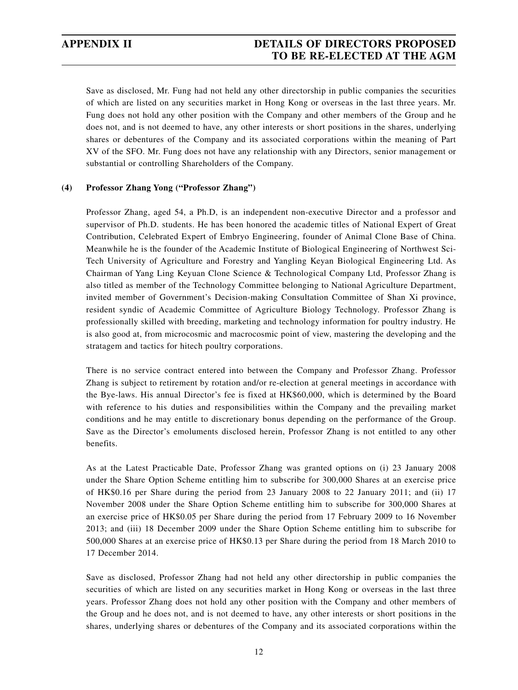# **APPENDIX II DETAILS OF DIRECTORS PROPOSED TO BE RE-ELECTED AT THE AGM**

Save as disclosed, Mr. Fung had not held any other directorship in public companies the securities of which are listed on any securities market in Hong Kong or overseas in the last three years. Mr. Fung does not hold any other position with the Company and other members of the Group and he does not, and is not deemed to have, any other interests or short positions in the shares, underlying shares or debentures of the Company and its associated corporations within the meaning of Part XV of the SFO. Mr. Fung does not have any relationship with any Directors, senior management or substantial or controlling Shareholders of the Company.

#### **(4) Professor Zhang Yong ("Professor Zhang")**

Professor Zhang, aged 54, a Ph.D, is an independent non-executive Director and a professor and supervisor of Ph.D. students. He has been honored the academic titles of National Expert of Great Contribution, Celebrated Expert of Embryo Engineering, founder of Animal Clone Base of China. Meanwhile he is the founder of the Academic Institute of Biological Engineering of Northwest Sci-Tech University of Agriculture and Forestry and Yangling Keyan Biological Engineering Ltd. As Chairman of Yang Ling Keyuan Clone Science & Technological Company Ltd, Professor Zhang is also titled as member of the Technology Committee belonging to National Agriculture Department, invited member of Government's Decision-making Consultation Committee of Shan Xi province, resident syndic of Academic Committee of Agriculture Biology Technology. Professor Zhang is professionally skilled with breeding, marketing and technology information for poultry industry. He is also good at, from microcosmic and macrocosmic point of view, mastering the developing and the stratagem and tactics for hitech poultry corporations.

There is no service contract entered into between the Company and Professor Zhang. Professor Zhang is subject to retirement by rotation and/or re-election at general meetings in accordance with the Bye-laws. His annual Director's fee is fixed at HK\$60,000, which is determined by the Board with reference to his duties and responsibilities within the Company and the prevailing market conditions and he may entitle to discretionary bonus depending on the performance of the Group. Save as the Director's emoluments disclosed herein, Professor Zhang is not entitled to any other benefits.

As at the Latest Practicable Date, Professor Zhang was granted options on (i) 23 January 2008 under the Share Option Scheme entitling him to subscribe for 300,000 Shares at an exercise price of HK\$0.16 per Share during the period from 23 January 2008 to 22 January 2011; and (ii) 17 November 2008 under the Share Option Scheme entitling him to subscribe for 300,000 Shares at an exercise price of HK\$0.05 per Share during the period from 17 February 2009 to 16 November 2013; and (iii) 18 December 2009 under the Share Option Scheme entitling him to subscribe for 500,000 Shares at an exercise price of HK\$0.13 per Share during the period from 18 March 2010 to 17 December 2014.

Save as disclosed, Professor Zhang had not held any other directorship in public companies the securities of which are listed on any securities market in Hong Kong or overseas in the last three years. Professor Zhang does not hold any other position with the Company and other members of the Group and he does not, and is not deemed to have, any other interests or short positions in the shares, underlying shares or debentures of the Company and its associated corporations within the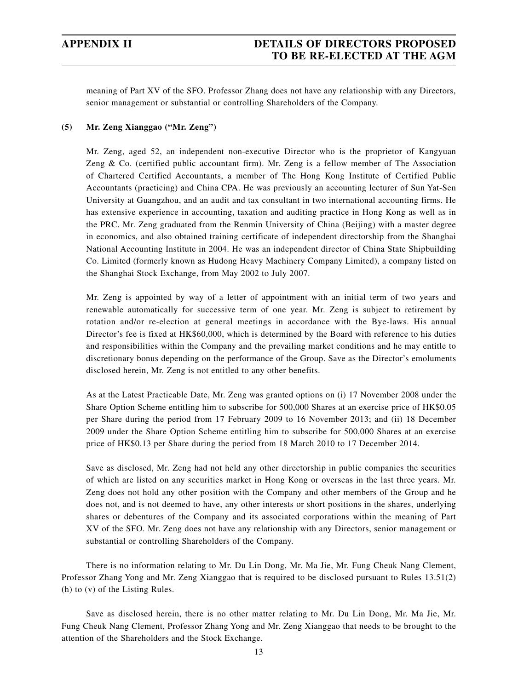meaning of Part XV of the SFO. Professor Zhang does not have any relationship with any Directors, senior management or substantial or controlling Shareholders of the Company.

### **(5) Mr. Zeng Xianggao ("Mr. Zeng")**

Mr. Zeng, aged 52, an independent non-executive Director who is the proprietor of Kangyuan Zeng & Co. (certified public accountant firm). Mr. Zeng is a fellow member of The Association of Chartered Certified Accountants, a member of The Hong Kong Institute of Certified Public Accountants (practicing) and China CPA. He was previously an accounting lecturer of Sun Yat-Sen University at Guangzhou, and an audit and tax consultant in two international accounting firms. He has extensive experience in accounting, taxation and auditing practice in Hong Kong as well as in the PRC. Mr. Zeng graduated from the Renmin University of China (Beijing) with a master degree in economics, and also obtained training certificate of independent directorship from the Shanghai National Accounting Institute in 2004. He was an independent director of China State Shipbuilding Co. Limited (formerly known as Hudong Heavy Machinery Company Limited), a company listed on the Shanghai Stock Exchange, from May 2002 to July 2007.

Mr. Zeng is appointed by way of a letter of appointment with an initial term of two years and renewable automatically for successive term of one year. Mr. Zeng is subject to retirement by rotation and/or re-election at general meetings in accordance with the Bye-laws. His annual Director's fee is fixed at HK\$60,000, which is determined by the Board with reference to his duties and responsibilities within the Company and the prevailing market conditions and he may entitle to discretionary bonus depending on the performance of the Group. Save as the Director's emoluments disclosed herein, Mr. Zeng is not entitled to any other benefits.

As at the Latest Practicable Date, Mr. Zeng was granted options on (i) 17 November 2008 under the Share Option Scheme entitling him to subscribe for 500,000 Shares at an exercise price of HK\$0.05 per Share during the period from 17 February 2009 to 16 November 2013; and (ii) 18 December 2009 under the Share Option Scheme entitling him to subscribe for 500,000 Shares at an exercise price of HK\$0.13 per Share during the period from 18 March 2010 to 17 December 2014.

Save as disclosed, Mr. Zeng had not held any other directorship in public companies the securities of which are listed on any securities market in Hong Kong or overseas in the last three years. Mr. Zeng does not hold any other position with the Company and other members of the Group and he does not, and is not deemed to have, any other interests or short positions in the shares, underlying shares or debentures of the Company and its associated corporations within the meaning of Part XV of the SFO. Mr. Zeng does not have any relationship with any Directors, senior management or substantial or controlling Shareholders of the Company.

There is no information relating to Mr. Du Lin Dong, Mr. Ma Jie, Mr. Fung Cheuk Nang Clement, Professor Zhang Yong and Mr. Zeng Xianggao that is required to be disclosed pursuant to Rules 13.51(2) (h) to (v) of the Listing Rules.

Save as disclosed herein, there is no other matter relating to Mr. Du Lin Dong, Mr. Ma Jie, Mr. Fung Cheuk Nang Clement, Professor Zhang Yong and Mr. Zeng Xianggao that needs to be brought to the attention of the Shareholders and the Stock Exchange.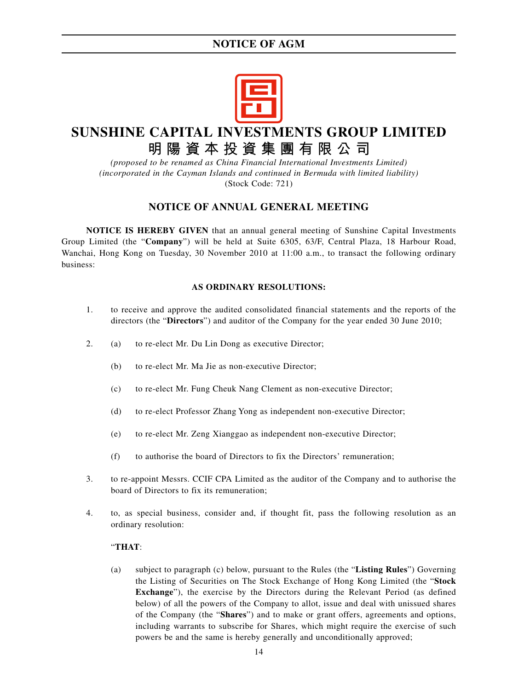

# **SUNSHINE CAPITAL INVESTMENTS GROUP LIMITED 明陽資本投資集團有限公司**

*(proposed to be renamed as China Financial International Investments Limited) (incorporated in the Cayman Islands and continued in Bermuda with limited liability)*

(Stock Code: 721)

## **NOTICE OF ANNUAL GENERAL MEETING**

**NOTICE IS HEREBY GIVEN** that an annual general meeting of Sunshine Capital Investments Group Limited (the "**Company**") will be held at Suite 6305, 63/F, Central Plaza, 18 Harbour Road, Wanchai, Hong Kong on Tuesday, 30 November 2010 at 11:00 a.m., to transact the following ordinary business:

### **AS ORDINARY RESOLUTIONS:**

- 1. to receive and approve the audited consolidated financial statements and the reports of the directors (the "**Directors**") and auditor of the Company for the year ended 30 June 2010;
- 2. (a) to re-elect Mr. Du Lin Dong as executive Director;
	- (b) to re-elect Mr. Ma Jie as non-executive Director;
	- (c) to re-elect Mr. Fung Cheuk Nang Clement as non-executive Director;
	- (d) to re-elect Professor Zhang Yong as independent non-executive Director;
	- (e) to re-elect Mr. Zeng Xianggao as independent non-executive Director;
	- (f) to authorise the board of Directors to fix the Directors' remuneration;
- 3. to re-appoint Messrs. CCIF CPA Limited as the auditor of the Company and to authorise the board of Directors to fix its remuneration;
- 4. to, as special business, consider and, if thought fit, pass the following resolution as an ordinary resolution:

#### "**THAT**:

(a) subject to paragraph (c) below, pursuant to the Rules (the "**Listing Rules**") Governing the Listing of Securities on The Stock Exchange of Hong Kong Limited (the "**Stock Exchange**"), the exercise by the Directors during the Relevant Period (as defined below) of all the powers of the Company to allot, issue and deal with unissued shares of the Company (the "**Shares**") and to make or grant offers, agreements and options, including warrants to subscribe for Shares, which might require the exercise of such powers be and the same is hereby generally and unconditionally approved;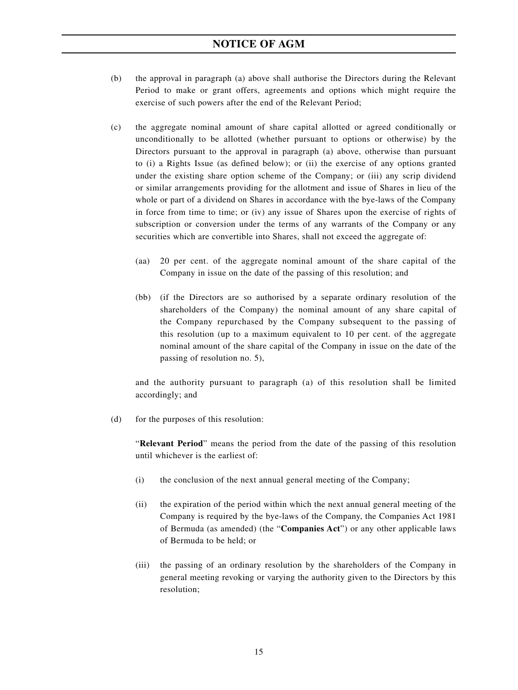- (b) the approval in paragraph (a) above shall authorise the Directors during the Relevant Period to make or grant offers, agreements and options which might require the exercise of such powers after the end of the Relevant Period;
- (c) the aggregate nominal amount of share capital allotted or agreed conditionally or unconditionally to be allotted (whether pursuant to options or otherwise) by the Directors pursuant to the approval in paragraph (a) above, otherwise than pursuant to (i) a Rights Issue (as defined below); or (ii) the exercise of any options granted under the existing share option scheme of the Company; or (iii) any scrip dividend or similar arrangements providing for the allotment and issue of Shares in lieu of the whole or part of a dividend on Shares in accordance with the bye-laws of the Company in force from time to time; or (iv) any issue of Shares upon the exercise of rights of subscription or conversion under the terms of any warrants of the Company or any securities which are convertible into Shares, shall not exceed the aggregate of:
	- (aa) 20 per cent. of the aggregate nominal amount of the share capital of the Company in issue on the date of the passing of this resolution; and
	- (bb) (if the Directors are so authorised by a separate ordinary resolution of the shareholders of the Company) the nominal amount of any share capital of the Company repurchased by the Company subsequent to the passing of this resolution (up to a maximum equivalent to 10 per cent. of the aggregate nominal amount of the share capital of the Company in issue on the date of the passing of resolution no. 5),

and the authority pursuant to paragraph (a) of this resolution shall be limited accordingly; and

(d) for the purposes of this resolution:

"**Relevant Period**" means the period from the date of the passing of this resolution until whichever is the earliest of:

- (i) the conclusion of the next annual general meeting of the Company;
- (ii) the expiration of the period within which the next annual general meeting of the Company is required by the bye-laws of the Company, the Companies Act 1981 of Bermuda (as amended) (the "**Companies Act**") or any other applicable laws of Bermuda to be held; or
- (iii) the passing of an ordinary resolution by the shareholders of the Company in general meeting revoking or varying the authority given to the Directors by this resolution;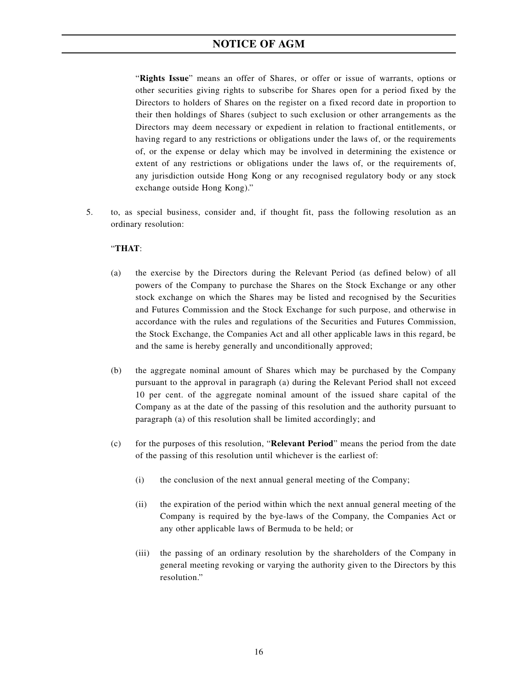"**Rights Issue**" means an offer of Shares, or offer or issue of warrants, options or other securities giving rights to subscribe for Shares open for a period fixed by the Directors to holders of Shares on the register on a fixed record date in proportion to their then holdings of Shares (subject to such exclusion or other arrangements as the Directors may deem necessary or expedient in relation to fractional entitlements, or having regard to any restrictions or obligations under the laws of, or the requirements of, or the expense or delay which may be involved in determining the existence or extent of any restrictions or obligations under the laws of, or the requirements of, any jurisdiction outside Hong Kong or any recognised regulatory body or any stock exchange outside Hong Kong)."

5. to, as special business, consider and, if thought fit, pass the following resolution as an ordinary resolution:

#### "**THAT**:

- (a) the exercise by the Directors during the Relevant Period (as defined below) of all powers of the Company to purchase the Shares on the Stock Exchange or any other stock exchange on which the Shares may be listed and recognised by the Securities and Futures Commission and the Stock Exchange for such purpose, and otherwise in accordance with the rules and regulations of the Securities and Futures Commission, the Stock Exchange, the Companies Act and all other applicable laws in this regard, be and the same is hereby generally and unconditionally approved;
- (b) the aggregate nominal amount of Shares which may be purchased by the Company pursuant to the approval in paragraph (a) during the Relevant Period shall not exceed 10 per cent. of the aggregate nominal amount of the issued share capital of the Company as at the date of the passing of this resolution and the authority pursuant to paragraph (a) of this resolution shall be limited accordingly; and
- (c) for the purposes of this resolution, "**Relevant Period**" means the period from the date of the passing of this resolution until whichever is the earliest of:
	- (i) the conclusion of the next annual general meeting of the Company;
	- (ii) the expiration of the period within which the next annual general meeting of the Company is required by the bye-laws of the Company, the Companies Act or any other applicable laws of Bermuda to be held; or
	- (iii) the passing of an ordinary resolution by the shareholders of the Company in general meeting revoking or varying the authority given to the Directors by this resolution."